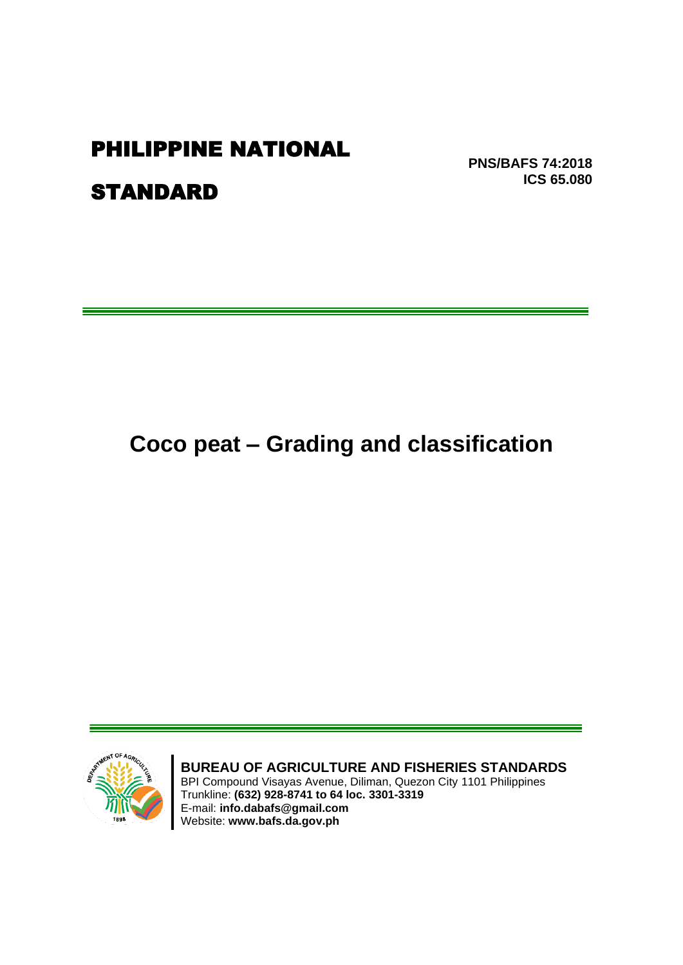# **PHILIPPINE NATIONAL**

**PNS/BAFS 74:2018 ICS 65.080** 

# **STANDARD**

# Coco peat - Grading and classification



BUREAU OF AGRICULTURE AND FISHERIES STANDARDS

BPI Compound Visayas Avenue, Diliman, Quezon City 1101 Philippines BrT Compound Visayas Avenue, Diffinal, Quezo<br>Trunkline: (632) 928-8741 to 64 loc. 3301-3319<br>E-mail: info.dabafs@gmail.com<br>Website: www.bafs.da.gov.ph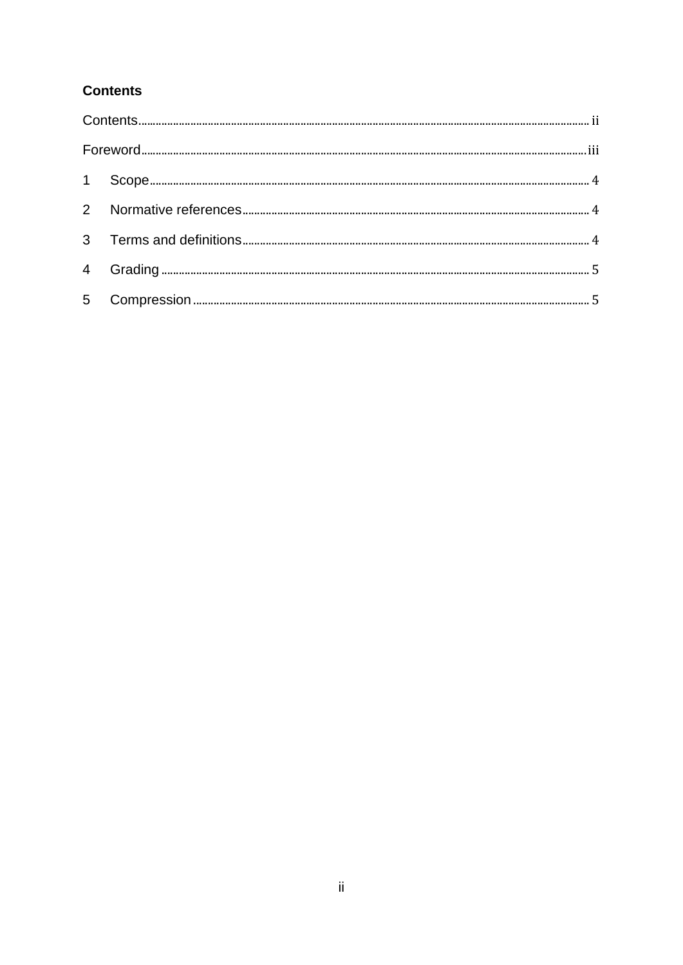## <span id="page-1-0"></span>**Contents**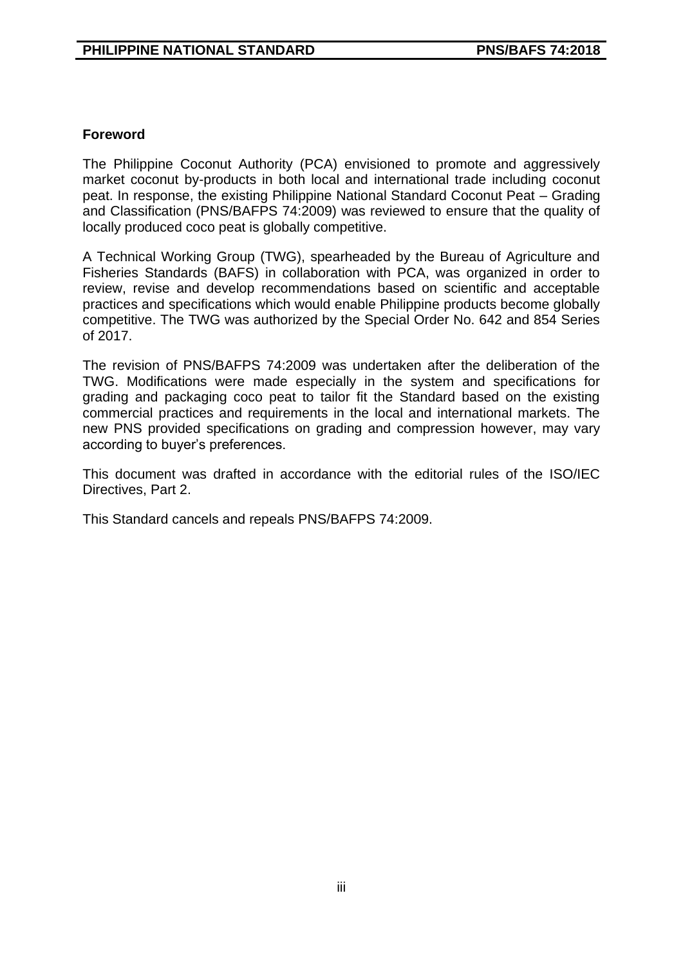#### <span id="page-2-0"></span>**Foreword**

The Philippine Coconut Authority (PCA) envisioned to promote and aggressively market coconut by-products in both local and international trade including coconut peat. In response, the existing Philippine National Standard Coconut Peat – Grading and Classification (PNS/BAFPS 74:2009) was reviewed to ensure that the quality of locally produced coco peat is globally competitive.

A Technical Working Group (TWG), spearheaded by the Bureau of Agriculture and Fisheries Standards (BAFS) in collaboration with PCA, was organized in order to review, revise and develop recommendations based on scientific and acceptable practices and specifications which would enable Philippine products become globally competitive. The TWG was authorized by the Special Order No. 642 and 854 Series of 2017.

The revision of PNS/BAFPS 74:2009 was undertaken after the deliberation of the TWG. Modifications were made especially in the system and specifications for grading and packaging coco peat to tailor fit the Standard based on the existing commercial practices and requirements in the local and international markets. The new PNS provided specifications on grading and compression however, may vary according to buyer's preferences.

This document was drafted in accordance with the editorial rules of the ISO/IEC Directives, Part 2.

This Standard cancels and repeals PNS/BAFPS 74:2009.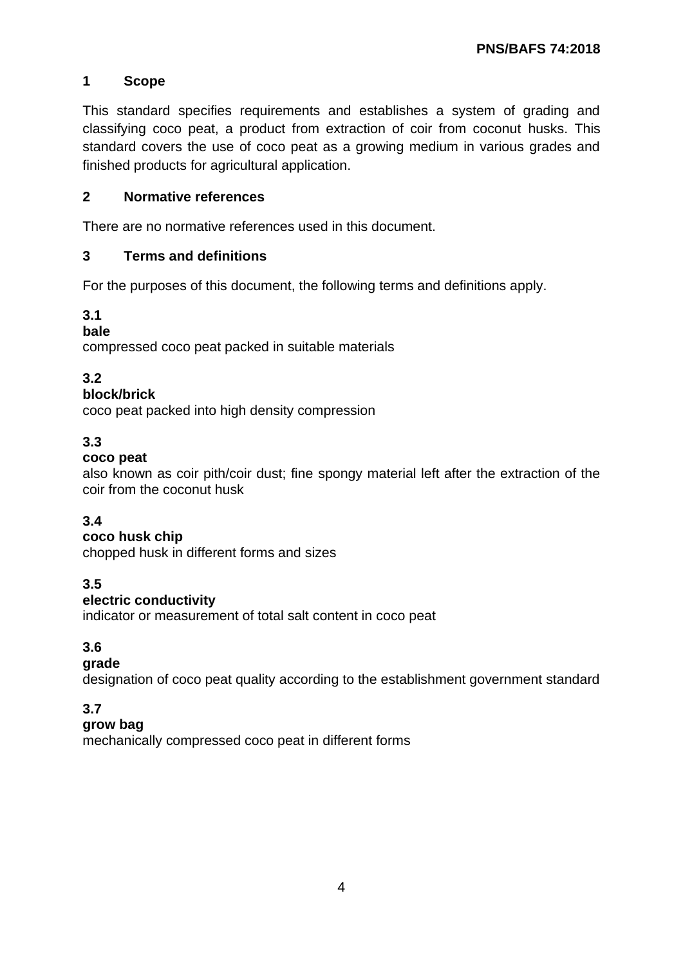### <span id="page-3-0"></span>**1 Scope**

This standard specifies requirements and establishes a system of grading and classifying coco peat, a product from extraction of coir from coconut husks. This standard covers the use of coco peat as a growing medium in various grades and finished products for agricultural application.

#### <span id="page-3-1"></span>**2 Normative references**

There are no normative references used in this document.

#### <span id="page-3-2"></span>**3 Terms and definitions**

For the purposes of this document, the following terms and definitions apply.

#### **3.1**

#### **bale**

compressed coco peat packed in suitable materials

#### **3.2**

#### **block/brick**

coco peat packed into high density compression

#### **3.3**

#### **coco peat**

also known as coir pith/coir dust; fine spongy material left after the extraction of the coir from the coconut husk

#### **3.4**

#### **coco husk chip**

chopped husk in different forms and sizes

#### **3.5**

#### **electric conductivity**

indicator or measurement of total salt content in coco peat

#### **3.6**

#### **grade**

designation of coco peat quality according to the establishment government standard

#### **3.7**

#### **grow bag**

mechanically compressed coco peat in different forms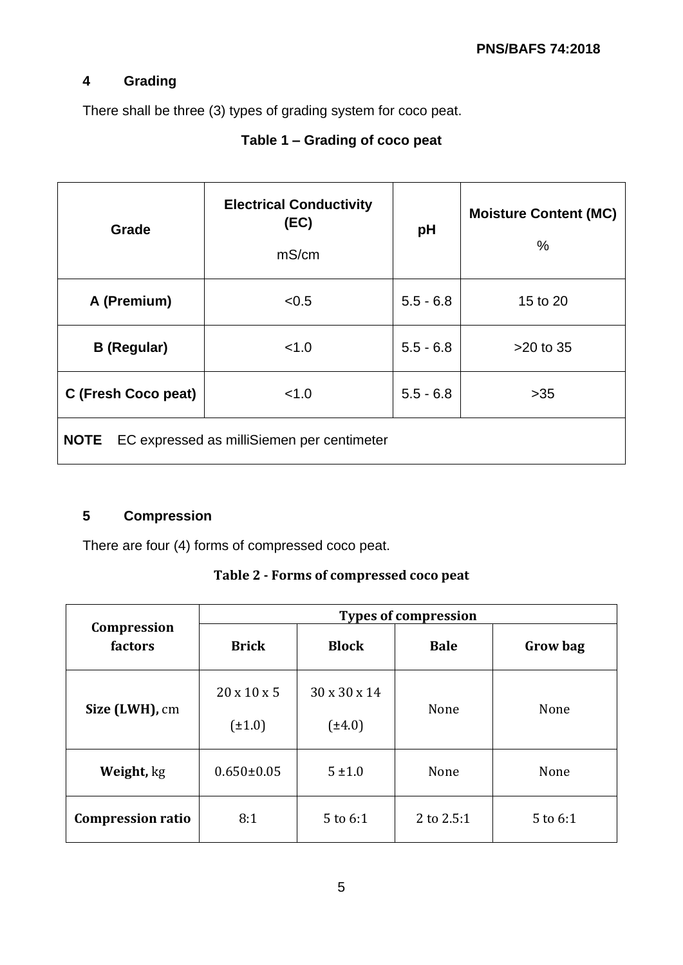## <span id="page-4-0"></span>**4 Grading**

There shall be three (3) types of grading system for coco peat.

# **Table 1 – Grading of coco peat**

| Grade               | <b>Electrical Conductivity</b><br>(EC)<br>mS/cm | pH          | <b>Moisture Content (MC)</b><br>$\%$ |  |
|---------------------|-------------------------------------------------|-------------|--------------------------------------|--|
| A (Premium)         | < 0.5                                           | $5.5 - 6.8$ | 15 to 20                             |  |
| <b>B</b> (Regular)  | < 1.0                                           | $5.5 - 6.8$ | $>20$ to 35                          |  |
| C (Fresh Coco peat) | < 1.0                                           | $5.5 - 6.8$ | $>35$                                |  |
| <b>NOTE</b>         | EC expressed as milliSiemen per centimeter      |             |                                      |  |

# <span id="page-4-1"></span>**5 Compression**

There are four (4) forms of compressed coco peat.

|  |  | Table 2 - Forms of compressed coco peat |  |  |
|--|--|-----------------------------------------|--|--|
|--|--|-----------------------------------------|--|--|

|                          | <b>Types of compression</b>            |                             |             |                 |
|--------------------------|----------------------------------------|-----------------------------|-------------|-----------------|
| Compression<br>factors   | <b>Brick</b>                           | <b>Block</b>                | <b>Bale</b> | <b>Grow bag</b> |
| Size (LWH), cm           | $20 \times 10 \times 5$<br>$(\pm 1.0)$ | 30 x 30 x 14<br>$(\pm 4.0)$ | None        | None            |
| Weight, kg               | $0.650 \pm 0.05$                       | $5 \pm 1.0$                 | None        | None            |
| <b>Compression ratio</b> | 8:1                                    | 5 to 6:1                    | 2 to 2.5:1  | 5 to 6:1        |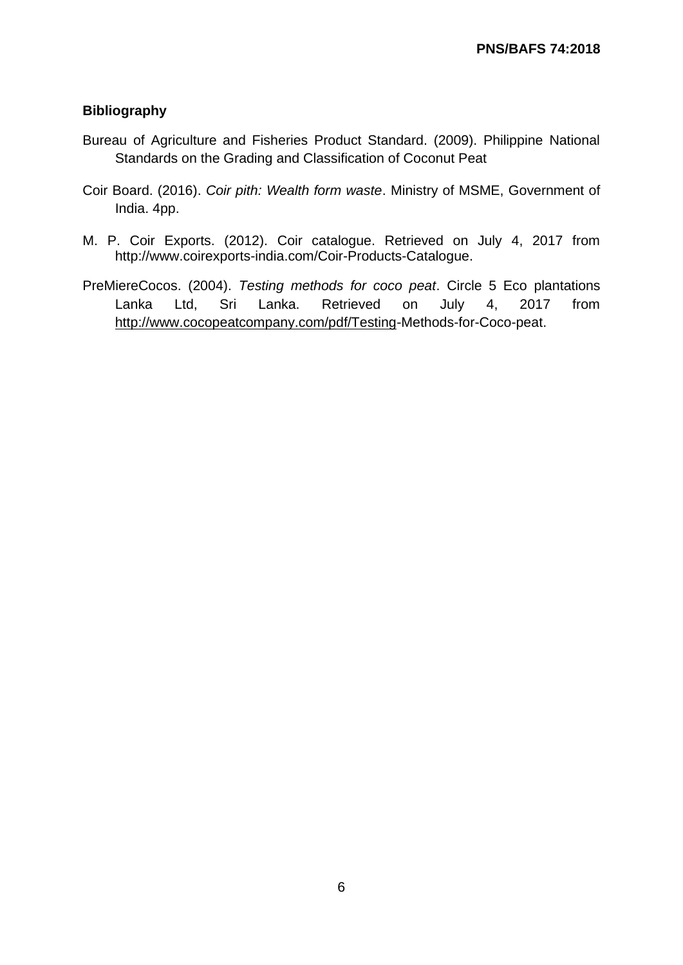#### **Bibliography**

- Bureau of Agriculture and Fisheries Product Standard. (2009). Philippine National Standards on the Grading and Classification of Coconut Peat
- Coir Board. (2016). *Coir pith: Wealth form waste*. Ministry of MSME, Government of India. 4pp.
- M. P. Coir Exports. (2012). Coir catalogue. Retrieved on July 4, 2017 from http://www.coirexports-india.com/Coir-Products-Catalogue.
- PreMiereCocos. (2004). *Testing methods for coco peat*. Circle 5 Eco plantations Lanka Ltd, Sri Lanka. Retrieved on July 4, 2017 from [http://www.cocopeatcompany.com/pdf/Testing-](http://www.cocopeatcompany.com/pdf/Testing)Methods-for-Coco-peat.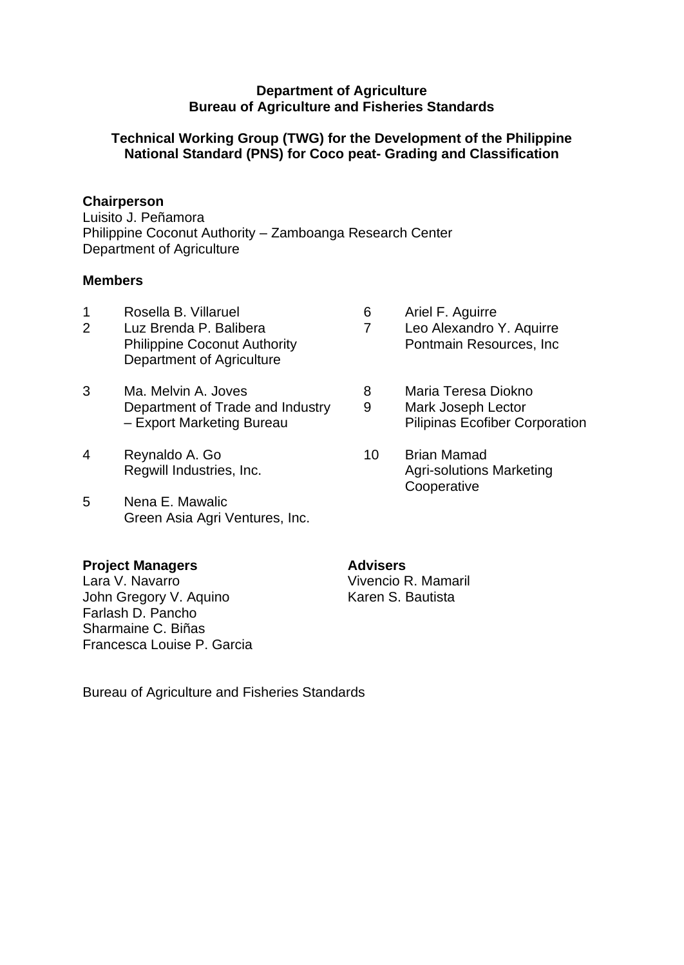#### **Department of Agriculture Bureau of Agriculture and Fisheries Standards**

#### **Technical Working Group (TWG) for the Development of the Philippine National Standard (PNS) for Coco peat- Grading and Classification**

#### **Chairperson**

Luisito J. Peñamora Philippine Coconut Authority – Zamboanga Research Center Department of Agriculture

#### **Members**

- 
- 1 Rosella B. Villaruel 1 6 Ariel F. Aguirre<br>2 Luz Brenda P. Balibera 1 7 Leo Alexandro Department of Agriculture
- 3 Ma. Melvin A. Joves 6 8 Maria Teresa Diokno Department of Trade and Industry 9 Mark Joseph Lector
- 4 Reynaldo A. Go 10 Brian Mamad
- 5 Nena E. Mawalic Green Asia Agri Ventures, Inc.

#### **Project Managers Advisers**

Lara V. Navarro **Vivencio R. Mamaril**<br>
John Gregory V. Aguino **Vivencio R. Bautista** John Gregory V. Aquino Farlash D. Pancho Sharmaine C. Biñas Francesca Louise P. Garcia

- 2 Luz Brenda P. Balibera 7 Leo Alexandro Y. Aquirre Philippine Coconut Authority **Pontmain Resources**, Inc.
	-
- Export Marketing Bureau Pilipinas Ecofiber Corporation
- Regwill Industries, Inc. The Contract Contract Agri-solutions Marketing **Cooperative**

Bureau of Agriculture and Fisheries Standards